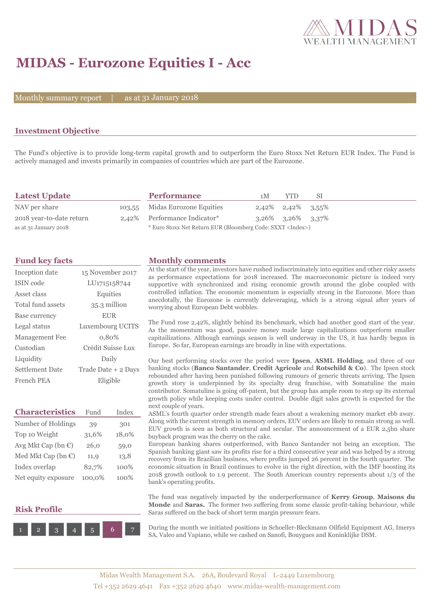

# **MIDAS - Eurozone Equities I - Acc**

Monthly summary report

31 January 2018

## **Investment Objective**

The Fund's objective is to provide long-term capital growth and to outperform the Euro Stoxx Net Return EUR Index. The Fund is actively managed and invests primarily in companies of countries which are part of the Eurozone.

| <b>Latest Update</b>     | <b>Performance</b>                                                 | 1 M | YTD.                       | -SI |
|--------------------------|--------------------------------------------------------------------|-----|----------------------------|-----|
| NAV per share            | 103,55 Midas Eurozone Equities                                     |     | $2,42\%$ $2,42\%$ $3,55\%$ |     |
| 2018 year-to-date return | 2,42% Performance Indicator*                                       |     | $3,26\%$ $3,26\%$ $3,37\%$ |     |
| as at 31 January 2018    | * Euro Stoxx Net Return EUR (Bloomberg Code: SXXT <index>)</index> |     |                            |     |

| Inception date         | 15 November 2017    |
|------------------------|---------------------|
| <b>ISIN</b> code       | LU1715158744        |
| Asset class            | Equities            |
| Total fund assets      | 35.3 million        |
| Base currency          | <b>EUR</b>          |
| Legal status           | Luxembourg UCITS    |
| Management Fee         | 0,80%               |
| Custodian              | Crédit Suisse Lux   |
| Liquidity              | Daily               |
| <b>Settlement Date</b> | Trade Date + 2 Days |
| French PEA             | Eligible            |

| <b>Characteristics</b>         | Fund   | Index |
|--------------------------------|--------|-------|
| Number of Holdings             | 39     | 301   |
| Top 10 Weight                  | 31,6%  | 18,0% |
| Avg Mkt Cap (bn $\epsilon$ )   | 26,0   | 59,0  |
| Med Mkt Cap (bn $\mathbb{C}$ ) | 11,9   | 13,8  |
| Index overlap                  | 82,7%  | 100%  |
| Net equity exposure            | 100,0% | 100%  |

### **Risk Profile**



### **Fund key facts Monthly comments**

At the start of the year, investors have rushed indiscriminately into equities and other risky assets as performance expectations for 2018 increased. The macroeconomic picture is indeed very supportive with synchronized and rising economic growth around the globe coupled with controlled inflation. The economic momentum is especially strong in the Eurozone. More than anecdotally, the Eurozone is currently deleveraging, which is a strong signal after years of worrying about European Debt wobbles.

The Fund rose 2,42%, slightly behind its benchmark, which had another good start of the year. As the momentum was good, passive money made large capitalizations outperform smaller capitailizations. Although earnings season is well underway in the US, it has hardly begun in Europe. So far, European earnings are broadly in line with expectations.

Our best performing stocks over the period were **Ipsen**, **ASML Holding**, and three of our banking stocks (**Banco Santander**, **Credit Agricole** and **Rotschild & Co**). The Ipsen stock rebounded after having been punished following rumours of generic threats arriving. The Ipsen growth story is underpinned by its specialty drug franchise, with Somatuline the main contributor. Somatuline is going off-patent, but the group has ample room to step up its external growth policy while keeping costs under control. Double digit sales growth is expected for the next couple of years.

ASML's fourth quarter order strength made fears about a weakening memory market ebb away. Along with the current strength in memory orders, EUV orders are likely to remain strong as well. EUV growth is seen as both structural and secular. The announcement of a EUR 2,5bn share buyback program was the cherry on the cake.

European banking shares outperformed, with Banco Santander not being an exception. The Spanish banking giant saw its profits rise for a third consecutive year and was helped by a strong recovery from its Brazilian business, where profits jumped 26 percent in the fourth quarter. The economic situation in Brazil continues to evolve in the right direction, with the IMF boosting its 2018 growth outlook to 1.9 percent. The South American country represents about 1/3 of the bank's operating profits.

The fund was negatively impacted by the underperformance of **Kerry Group**, **Maisons du Monde** and **Saras.** The former two suffering from some classic profit-taking behaviour, while Saras suffered on the back of short term margin pressure fears.

During the month we initiated positions in Schoeller-Bleckmann Oilfield Equipment AG, Imerys SA, Valeo and Vapiano, while we cashed on Sanofi, Bouygues and Koninklijke DSM.